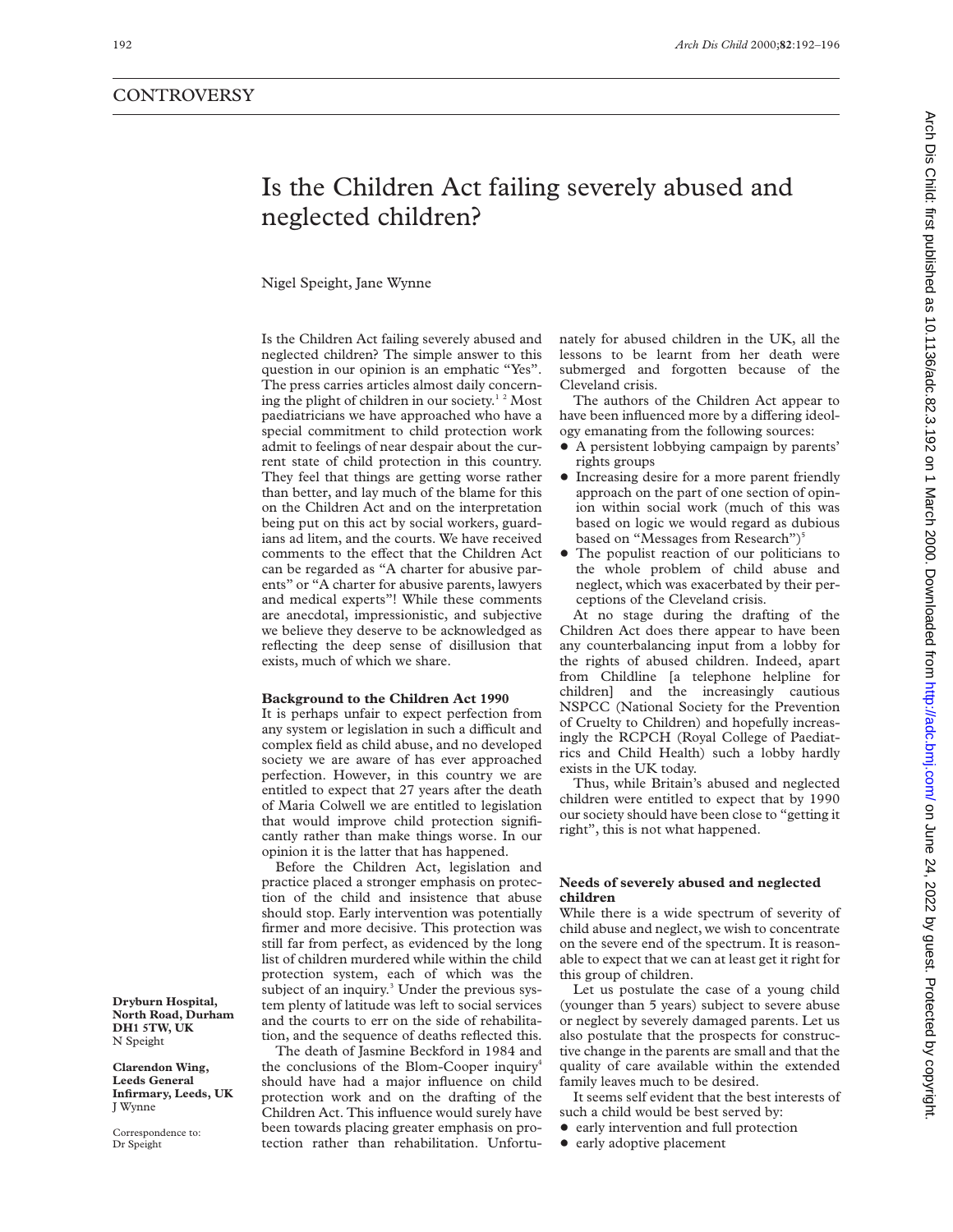# Is the Children Act failing severely abused and neglected children?

Nigel Speight, Jane Wynne

Is the Children Act failing severely abused and neglected children? The simple answer to this question in our opinion is an emphatic "Yes". The press carries articles almost daily concerning the plight of children in our society.<sup>12</sup> Most paediatricians we have approached who have a special commitment to child protection work admit to feelings of near despair about the current state of child protection in this country. They feel that things are getting worse rather than better, and lay much of the blame for this on the Children Act and on the interpretation being put on this act by social workers, guardians ad litem, and the courts. We have received comments to the effect that the Children Act can be regarded as "A charter for abusive parents" or "A charter for abusive parents, lawyers and medical experts"! While these comments are anecdotal, impressionistic, and subjective we believe they deserve to be acknowledged as reflecting the deep sense of disillusion that exists, much of which we share.

# **Background to the Children Act 1990**

It is perhaps unfair to expect perfection from any system or legislation in such a difficult and complex field as child abuse, and no developed society we are aware of has ever approached perfection. However, in this country we are entitled to expect that 27 years after the death of Maria Colwell we are entitled to legislation that would improve child protection significantly rather than make things worse. In our opinion it is the latter that has happened.

Before the Children Act, legislation and practice placed a stronger emphasis on protection of the child and insistence that abuse should stop. Early intervention was potentially firmer and more decisive. This protection was still far from perfect, as evidenced by the long list of children murdered while within the child protection system, each of which was the subject of an inquiry.<sup>3</sup> Under the previous system plenty of latitude was left to social services and the courts to err on the side of rehabilitation, and the sequence of deaths reflected this.

The death of Jasmine Beckford in 1984 and the conclusions of the Blom-Cooper inquiry4 should have had a major influence on child protection work and on the drafting of the Children Act. This influence would surely have been towards placing greater emphasis on protection rather than rehabilitation. Unfortunately for abused children in the UK, all the lessons to be learnt from her death were submerged and forgotten because of the Cleveland crisis.

The authors of the Children Act appear to have been influenced more by a differing ideology emanating from the following sources:

- A persistent lobbying campaign by parents' rights groups
- Increasing desire for a more parent friendly approach on the part of one section of opinion within social work (much of this was based on logic we would regard as dubious based on "Messages from Research")<sup>5</sup>
- The populist reaction of our politicians to the whole problem of child abuse and neglect, which was exacerbated by their perceptions of the Cleveland crisis.

At no stage during the drafting of the Children Act does there appear to have been any counterbalancing input from a lobby for the rights of abused children. Indeed, apart from Childline [a telephone helpline for children] and the increasingly cautious NSPCC (National Society for the Prevention of Cruelty to Children) and hopefully increasingly the RCPCH (Royal College of Paediatrics and Child Health) such a lobby hardly exists in the UK today.

Thus, while Britain's abused and neglected children were entitled to expect that by 1990 our society should have been close to "getting it right", this is not what happened.

# **Needs of severely abused and neglected children**

While there is a wide spectrum of severity of child abuse and neglect, we wish to concentrate on the severe end of the spectrum. It is reasonable to expect that we can at least get it right for this group of children.

Let us postulate the case of a young child (younger than 5 years) subject to severe abuse or neglect by severely damaged parents. Let us also postulate that the prospects for constructive change in the parents are small and that the quality of care available within the extended family leaves much to be desired.

It seems self evident that the best interests of such a child would be best served by:

- early intervention and full protection
- early adoptive placement

**Dryburn Hospital, North Road, Durham DH1 5TW, UK** N Speight

**Clarendon Wing, Leeds General Infirmary, Leeds, UK** J Wynne

Correspondence to: Dr Speight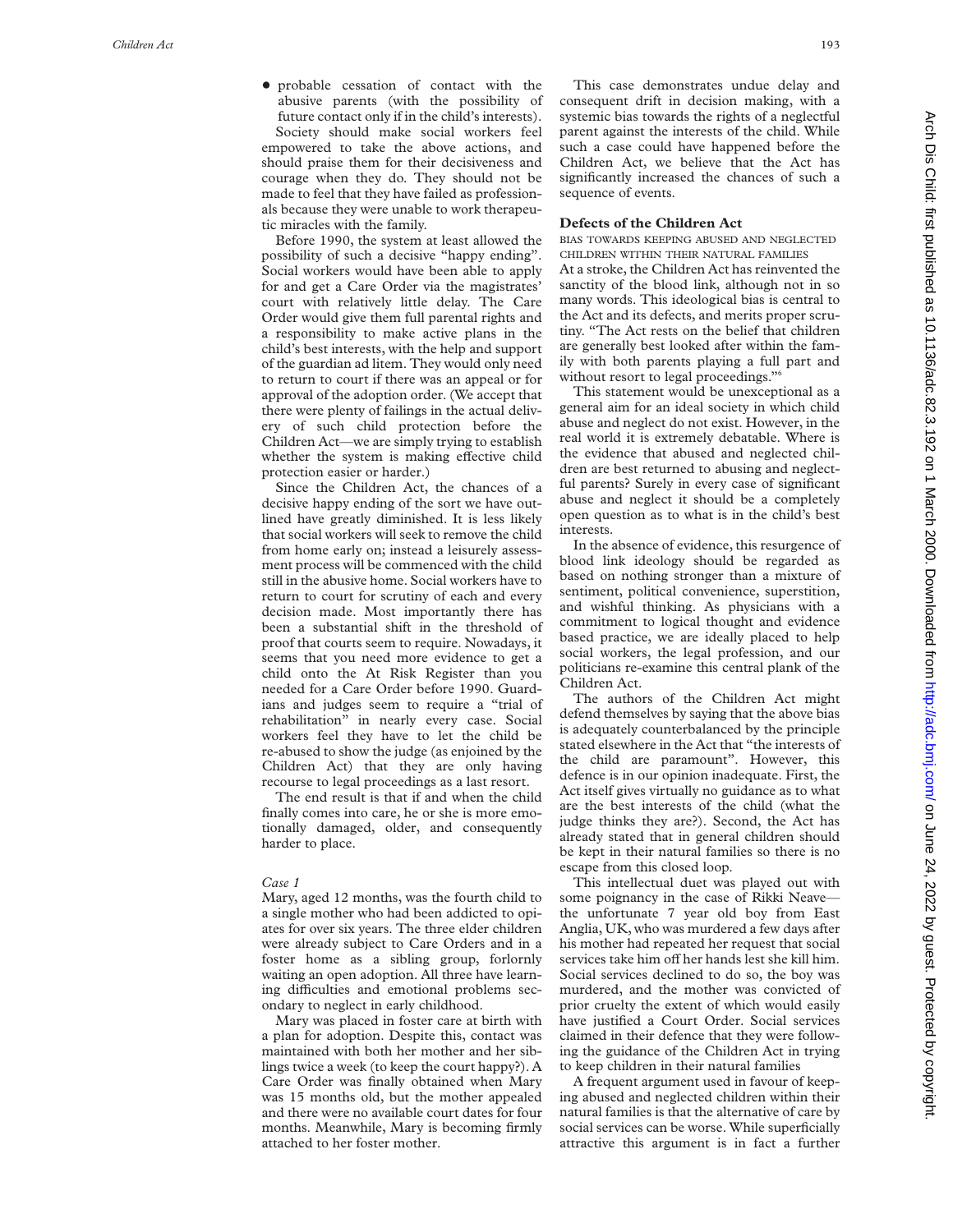+ probable cessation of contact with the abusive parents (with the possibility of future contact only if in the child's interests). Society should make social workers feel

empowered to take the above actions, and should praise them for their decisiveness and courage when they do. They should not be made to feel that they have failed as professionals because they were unable to work therapeutic miracles with the family.

Before 1990, the system at least allowed the possibility of such a decisive "happy ending". Social workers would have been able to apply for and get a Care Order via the magistrates' court with relatively little delay. The Care Order would give them full parental rights and a responsibility to make active plans in the child's best interests, with the help and support of the guardian ad litem. They would only need to return to court if there was an appeal or for approval of the adoption order. (We accept that there were plenty of failings in the actual delivery of such child protection before the Children Act—we are simply trying to establish whether the system is making effective child protection easier or harder.)

Since the Children Act, the chances of a decisive happy ending of the sort we have outlined have greatly diminished. It is less likely that social workers will seek to remove the child from home early on; instead a leisurely assessment process will be commenced with the child still in the abusive home. Social workers have to return to court for scrutiny of each and every decision made. Most importantly there has been a substantial shift in the threshold of proof that courts seem to require. Nowadays, it seems that you need more evidence to get a child onto the At Risk Register than you needed for a Care Order before 1990. Guardians and judges seem to require a "trial of rehabilitation" in nearly every case. Social workers feel they have to let the child be re-abused to show the judge (as enjoined by the Children Act) that they are only having recourse to legal proceedings as a last resort.

The end result is that if and when the child finally comes into care, he or she is more emotionally damaged, older, and consequently harder to place.

## *Case 1*

Mary, aged 12 months, was the fourth child to a single mother who had been addicted to opiates for over six years. The three elder children were already subject to Care Orders and in a foster home as a sibling group, forlornly waiting an open adoption. All three have learning difficulties and emotional problems secondary to neglect in early childhood.

Mary was placed in foster care at birth with a plan for adoption. Despite this, contact was maintained with both her mother and her siblings twice a week (to keep the court happy?). A Care Order was finally obtained when Mary was 15 months old, but the mother appealed and there were no available court dates for four months. Meanwhile, Mary is becoming firmly attached to her foster mother.

This case demonstrates undue delay and consequent drift in decision making, with a systemic bias towards the rights of a neglectful parent against the interests of the child. While such a case could have happened before the Children Act, we believe that the Act has significantly increased the chances of such a sequence of events.

## **Defects of the Children Act**

BIAS TOWARDS KEEPING ABUSED AND NEGLECTED CHILDREN WITHIN THEIR NATURAL FAMILIES

At a stroke, the Children Act has reinvented the sanctity of the blood link, although not in so many words. This ideological bias is central to the Act and its defects, and merits proper scrutiny. "The Act rests on the belief that children are generally best looked after within the family with both parents playing a full part and without resort to legal proceedings." 6

This statement would be unexceptional as a general aim for an ideal society in which child abuse and neglect do not exist. However, in the real world it is extremely debatable. Where is the evidence that abused and neglected children are best returned to abusing and neglectful parents? Surely in every case of significant abuse and neglect it should be a completely open question as to what is in the child's best interests.

In the absence of evidence, this resurgence of blood link ideology should be regarded as based on nothing stronger than a mixture of sentiment, political convenience, superstition, and wishful thinking. As physicians with a commitment to logical thought and evidence based practice, we are ideally placed to help social workers, the legal profession, and our politicians re-examine this central plank of the Children Act.

The authors of the Children Act might defend themselves by saying that the above bias is adequately counterbalanced by the principle stated elsewhere in the Act that "the interests of the child are paramount". However, this defence is in our opinion inadequate. First, the Act itself gives virtually no guidance as to what are the best interests of the child (what the judge thinks they are?). Second, the Act has already stated that in general children should be kept in their natural families so there is no escape from this closed loop.

This intellectual duet was played out with some poignancy in the case of Rikki Neave the unfortunate 7 year old boy from East Anglia, UK, who was murdered a few days after his mother had repeated her request that social services take him off her hands lest she kill him. Social services declined to do so, the boy was murdered, and the mother was convicted of prior cruelty the extent of which would easily have justified a Court Order. Social services claimed in their defence that they were following the guidance of the Children Act in trying to keep children in their natural families

A frequent argument used in favour of keeping abused and neglected children within their natural families is that the alternative of care by social services can be worse. While superficially attractive this argument is in fact a further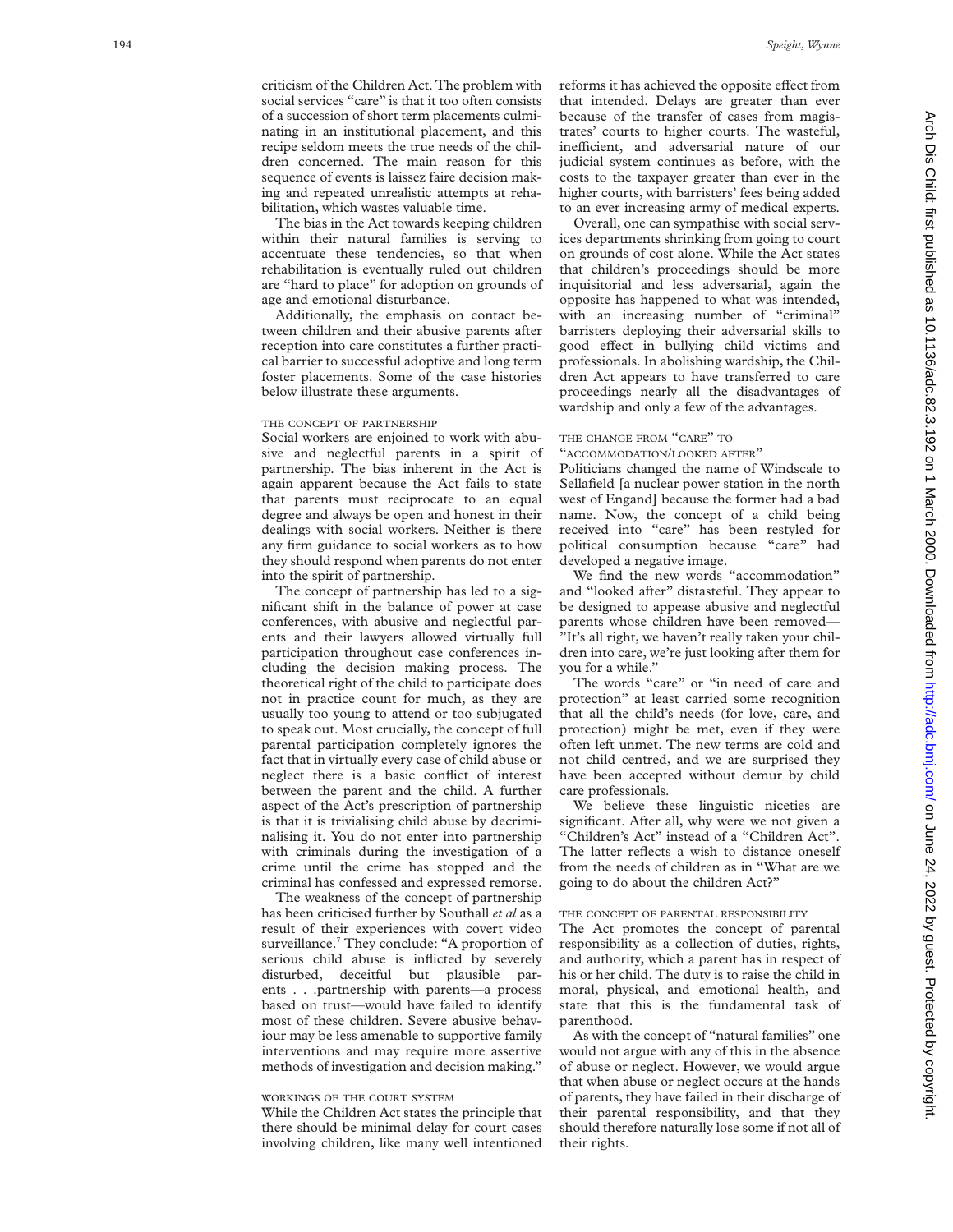criticism of the Children Act. The problem with social services "care" is that it too often consists of a succession of short term placements culminating in an institutional placement, and this recipe seldom meets the true needs of the children concerned. The main reason for this sequence of events is laissez faire decision making and repeated unrealistic attempts at rehabilitation, which wastes valuable time.

The bias in the Act towards keeping children within their natural families is serving to accentuate these tendencies, so that when rehabilitation is eventually ruled out children are "hard to place" for adoption on grounds of age and emotional disturbance.

Additionally, the emphasis on contact between children and their abusive parents after reception into care constitutes a further practical barrier to successful adoptive and long term foster placements. Some of the case histories below illustrate these arguments.

# THE CONCEPT OF PARTNERSHIP

Social workers are enjoined to work with abusive and neglectful parents in a spirit of partnership. The bias inherent in the Act is again apparent because the Act fails to state that parents must reciprocate to an equal degree and always be open and honest in their dealings with social workers. Neither is there any firm guidance to social workers as to how they should respond when parents do not enter into the spirit of partnership.

The concept of partnership has led to a significant shift in the balance of power at case conferences, with abusive and neglectful parents and their lawyers allowed virtually full participation throughout case conferences including the decision making process. The theoretical right of the child to participate does not in practice count for much, as they are usually too young to attend or too subjugated to speak out. Most crucially, the concept of full parental participation completely ignores the fact that in virtually every case of child abuse or neglect there is a basic conflict of interest between the parent and the child. A further aspect of the Act's prescription of partnership is that it is trivialising child abuse by decriminalising it. You do not enter into partnership with criminals during the investigation of a crime until the crime has stopped and the criminal has confessed and expressed remorse.

The weakness of the concept of partnership has been criticised further by Southall *et al* as a result of their experiences with covert video surveillance.<sup>7</sup> They conclude: "A proportion of serious child abuse is inflicted by severely disturbed, deceitful but plausible parents . . .partnership with parents—a process based on trust—would have failed to identify most of these children. Severe abusive behaviour may be less amenable to supportive family interventions and may require more assertive methods of investigation and decision making."

## WORKINGS OF THE COURT SYSTEM

While the Children Act states the principle that there should be minimal delay for court cases involving children, like many well intentioned

reforms it has achieved the opposite effect from that intended. Delays are greater than ever because of the transfer of cases from magistrates' courts to higher courts. The wasteful, inefficient, and adversarial nature of our judicial system continues as before, with the costs to the taxpayer greater than ever in the higher courts, with barristers' fees being added to an ever increasing army of medical experts.

Overall, one can sympathise with social services departments shrinking from going to court on grounds of cost alone. While the Act states that children's proceedings should be more inquisitorial and less adversarial, again the opposite has happened to what was intended, with an increasing number of "criminal" barristers deploying their adversarial skills to good e Vect in bullying child victims and professionals. In abolishing wardship, the Children Act appears to have transferred to care proceedings nearly all the disadvantages of wardship and only a few of the advantages.

## THE CHANGE FROM "CARE" TO

"ACCOMMODATION /LOOKED AFTER "

Politicians changed the name of Windscale to Sellafield [a nuclear power station in the north west of Engand] because the former had a bad name. Now, the concept of a child being received into "care" has been restyled for political consumption because "care" had developed a negative image.

We find the new words "accommodation" and "looked after" distasteful. They appear to be designed to appease abusive and neglectful parents whose children have been removed— "It's all right, we haven't really taken your children into care, we're just looking after them for you for a while."

The words "care" or "in need of care and protection" at least carried some recognition that all the child's needs (for love, care, and protection) might be met, even if they were often left unmet. The new terms are cold and not child centred, and we are surprised they have been accepted without demur by child care professionals.

We believe these linguistic niceties are significant. After all, why were we not given a "Children's Act" instead of a "Children Act". The latter reflects a wish to distance oneself from the needs of children as in "What are we going to do about the children Act?"

# THE CONCEPT OF PARENTAL RESPONSIBILITY

The Act promotes the concept of parental responsibility as a collection of duties, rights, and authority, which a parent has in respect of his or her child. The duty is to raise the child in moral, physical, and emotional health, and state that this is the fundamental task of parenthood.

As with the concept of "natural families" one would not argue with any of this in the absence of abuse or neglect. However, we would argue that when abuse or neglect occurs at the hands of parents, they have failed in their discharge of their parental responsibility, and that they should therefore naturally lose some if not all of their rights.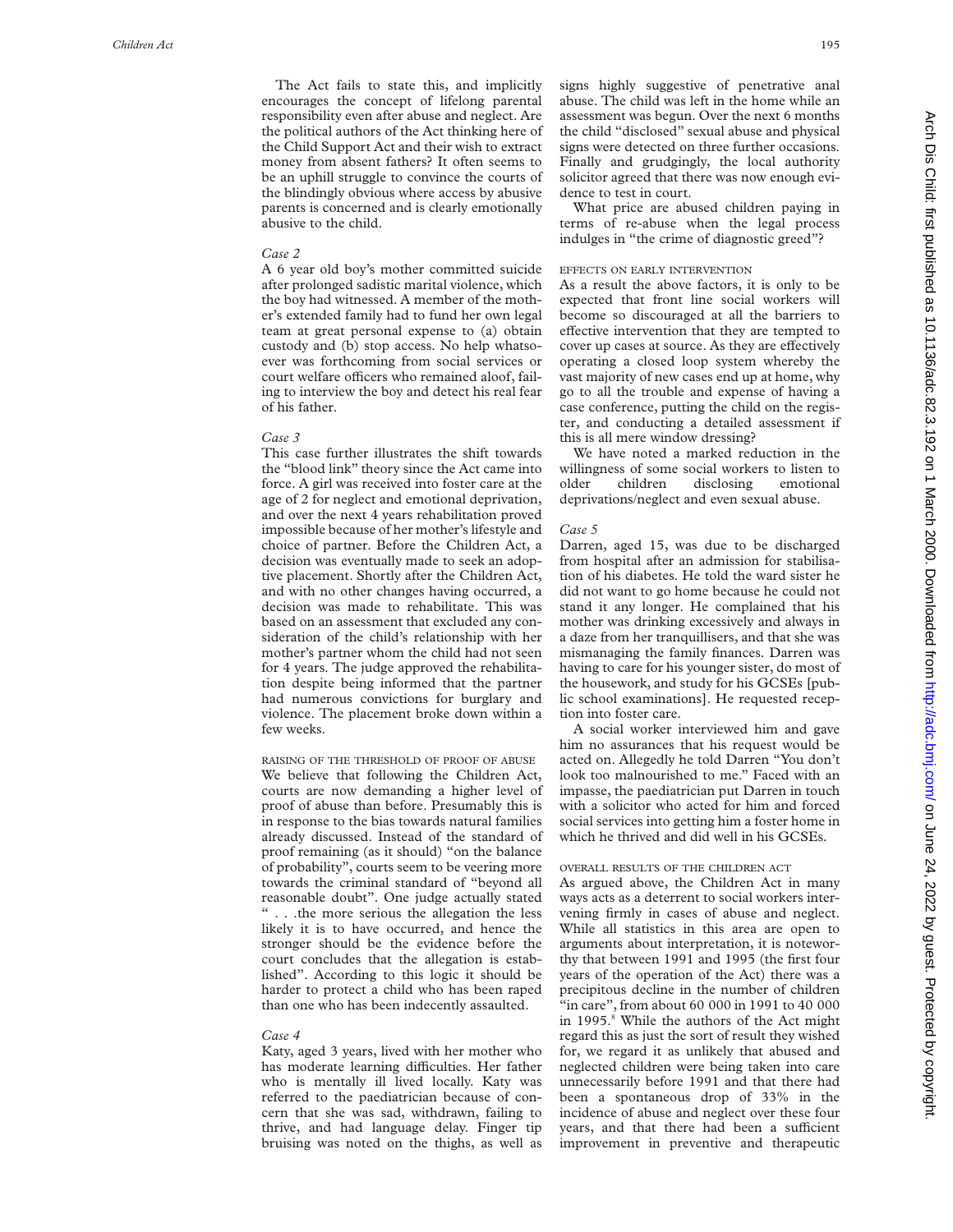The Act fails to state this, and implicitly encourages the concept of lifelong parental responsibility even after abuse and neglect. Are the political authors of the Act thinking here of the Child Support Act and their wish to extract money from absent fathers? It often seems to be an uphill struggle to convince the courts of the blindingly obvious where access by abusive parents is concerned and is clearly emotionally abusive to the child.

# *Case 2*

A 6 year old boy's mother committed suicide after prolonged sadistic marital violence, which the boy had witnessed. A member of the mother's extended family had to fund her own legal team at great personal expense to (a) obtain custody and (b) stop access. No help whatsoever was forthcoming from social services or court welfare officers who remained aloof, failing to interview the boy and detect his real fear of his father.

# *Case 3*

This case further illustrates the shift towards the "blood link" theory since the Act came into force. A girl was received into foster care at the age of 2 for neglect and emotional deprivation, and over the next 4 years rehabilitation proved impossible because of her mother's lifestyle and choice of partner. Before the Children Act, a decision was eventually made to seek an adoptive placement. Shortly after the Children Act, and with no other changes having occurred, a decision was made to rehabilitate. This was based on an assessment that excluded any consideration of the child's relationship with her mother's partner whom the child had not seen for 4 years. The judge approved the rehabilitation despite being informed that the partner had numerous convictions for burglary and violence. The placement broke down within a few weeks.

RAISING OF THE THRESHOLD OF PROOF OF ABUSE We believe that following the Children Act, courts are now demanding a higher level of proof of abuse than before. Presumably this is in response to the bias towards natural families already discussed. Instead of the standard of proof remaining (as it should) "on the balance of probability", courts seem to be veering more towards the criminal standard of "beyond all reasonable doubt". One judge actually stated " . . .the more serious the allegation the less likely it is to have occurred, and hence the stronger should be the evidence before the court concludes that the allegation is established". According to this logic it should be harder to protect a child who has been raped than one who has been indecently assaulted.

### *Case 4*

Katy, aged 3 years, lived with her mother who has moderate learning difficulties. Her father who is mentally ill lived locally. Katy was referred to the paediatrician because of concern that she was sad, withdrawn, failing to thrive, and had language delay. Finger tip bruising was noted on the thighs, as well as signs highly suggestive of penetrative anal abuse. The child was left in the home while an assessment was begun. Over the next 6 months the child "disclosed" sexual abuse and physical signs were detected on three further occasions. Finally and grudgingly, the local authority solicitor agreed that there was now enough evidence to test in court.

What price are abused children paying in terms of re-abuse when the legal process indulges in "the crime of diagnostic greed"?

### EFFECTS ON EARLY INTERVENTION

As a result the above factors, it is only to be expected that front line social workers will become so discouraged at all the barriers to effective intervention that they are tempted to cover up cases at source. As they are effectively operating a closed loop system whereby the vast majority of new cases end up at home, why go to all the trouble and expense of having a case conference, putting the child on the register, and conducting a detailed assessment if this is all mere window dressing?

We have noted a marked reduction in the willingness of some social workers to listen to older children disclosing emotional deprivations/neglect and even sexual abuse.

## *Case 5*

Darren, aged 15, was due to be discharged from hospital after an admission for stabilisation of his diabetes. He told the ward sister he did not want to go home because he could not stand it any longer. He complained that his mother was drinking excessively and always in a daze from her tranquillisers, and that she was mismanaging the family finances. Darren was having to care for his younger sister, do most of the housework, and study for his GCSEs [public school examinations]. He requested reception into foster care.

A social worker interviewed him and gave him no assurances that his request would be acted on. Allegedly he told Darren "You don't look too malnourished to me." Faced with an impasse, the paediatrician put Darren in touch with a solicitor who acted for him and forced social services into getting him a foster home in which he thrived and did well in his GCSEs.

# OVERALL RESULTS OF THE CHILDREN ACT

As argued above, the Children Act in many ways acts as a deterrent to social workers intervening firmly in cases of abuse and neglect. While all statistics in this area are open to arguments about interpretation, it is noteworthy that between 1991 and 1995 (the first four years of the operation of the Act) there was a precipitous decline in the number of children "in care", from about 60 000 in 1991 to 40 000 in 1995. <sup>8</sup> While the authors of the Act might regard this as just the sort of result they wished for, we regard it as unlikely that abused and neglected children were being taken into care unnecessarily before 1991 and that there had been a spontaneous drop of 33% in the incidence of abuse and neglect over these four years, and that there had been a sufficient improvement in preventive and therapeutic